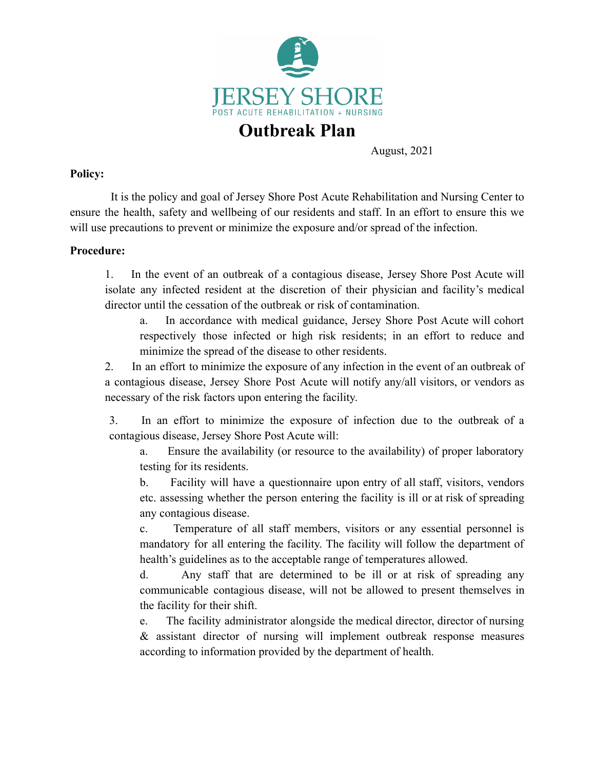

# **Outbreak Plan**

August, 2021

### **Policy:**

It is the policy and goal of Jersey Shore Post Acute Rehabilitation and Nursing Center to ensure the health, safety and wellbeing of our residents and staff. In an effort to ensure this we will use precautions to prevent or minimize the exposure and/or spread of the infection.

### **Procedure:**

1. In the event of an outbreak of a contagious disease, Jersey Shore Post Acute will isolate any infected resident at the discretion of their physician and facility's medical director until the cessation of the outbreak or risk of contamination.

a. In accordance with medical guidance, Jersey Shore Post Acute will cohort respectively those infected or high risk residents; in an effort to reduce and minimize the spread of the disease to other residents.

2. In an effort to minimize the exposure of any infection in the event of an outbreak of a contagious disease, Jersey Shore Post Acute will notify any/all visitors, or vendors as necessary of the risk factors upon entering the facility.

3. In an effort to minimize the exposure of infection due to the outbreak of a contagious disease, Jersey Shore Post Acute will:

a. Ensure the availability (or resource to the availability) of proper laboratory testing for its residents.

b. Facility will have a questionnaire upon entry of all staff, visitors, vendors etc. assessing whether the person entering the facility is ill or at risk of spreading any contagious disease.

c. Temperature of all staff members, visitors or any essential personnel is mandatory for all entering the facility. The facility will follow the department of health's guidelines as to the acceptable range of temperatures allowed.

d. Any staff that are determined to be ill or at risk of spreading any communicable contagious disease, will not be allowed to present themselves in the facility for their shift.

e. The facility administrator alongside the medical director, director of nursing & assistant director of nursing will implement outbreak response measures according to information provided by the department of health.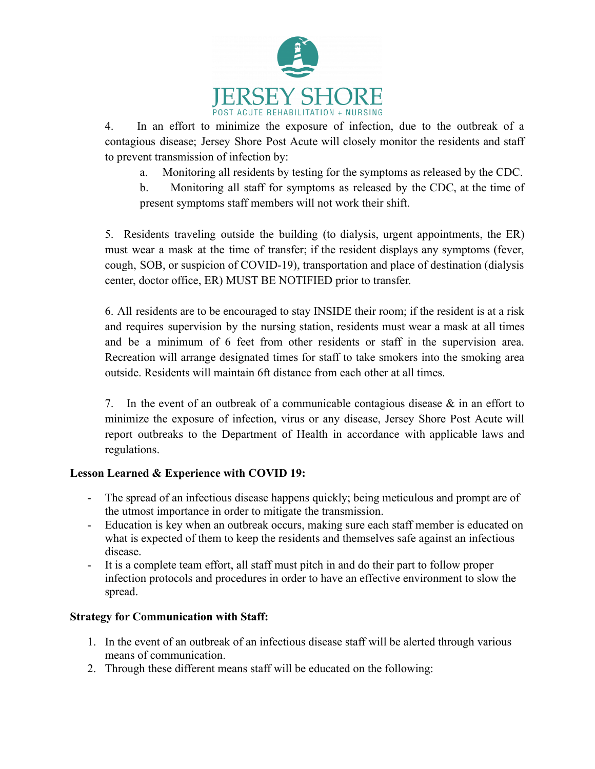

4. In an effort to minimize the exposure of infection, due to the outbreak of a contagious disease; Jersey Shore Post Acute will closely monitor the residents and staff to prevent transmission of infection by:

a. Monitoring all residents by testing for the symptoms as released by the CDC.

b. Monitoring all staff for symptoms as released by the CDC, at the time of present symptoms staff members will not work their shift.

5. Residents traveling outside the building (to dialysis, urgent appointments, the ER) must wear a mask at the time of transfer; if the resident displays any symptoms (fever, cough, SOB, or suspicion of COVID-19), transportation and place of destination (dialysis center, doctor office, ER) MUST BE NOTIFIED prior to transfer.

6. All residents are to be encouraged to stay INSIDE their room; if the resident is at a risk and requires supervision by the nursing station, residents must wear a mask at all times and be a minimum of 6 feet from other residents or staff in the supervision area. Recreation will arrange designated times for staff to take smokers into the smoking area outside. Residents will maintain 6ft distance from each other at all times.

7. In the event of an outbreak of a communicable contagious disease & in an effort to minimize the exposure of infection, virus or any disease, Jersey Shore Post Acute will report outbreaks to the Department of Health in accordance with applicable laws and regulations.

# **Lesson Learned & Experience with COVID 19:**

- The spread of an infectious disease happens quickly; being meticulous and prompt are of the utmost importance in order to mitigate the transmission.
- Education is key when an outbreak occurs, making sure each staff member is educated on what is expected of them to keep the residents and themselves safe against an infectious disease.
- It is a complete team effort, all staff must pitch in and do their part to follow proper infection protocols and procedures in order to have an effective environment to slow the spread.

# **Strategy for Communication with Staff:**

- 1. In the event of an outbreak of an infectious disease staff will be alerted through various means of communication.
- 2. Through these different means staff will be educated on the following: